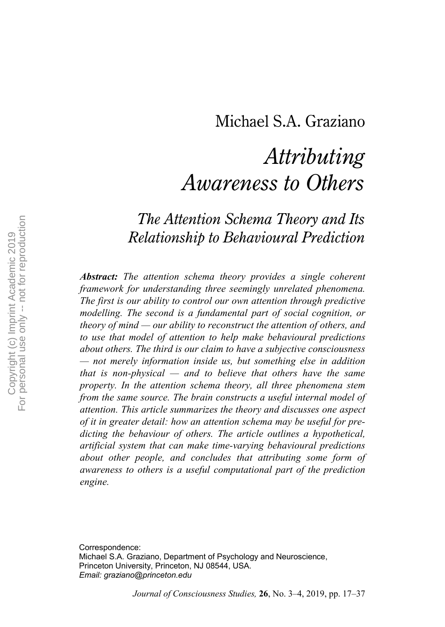# Michael S.A. Graziano

# *Attributing Awareness to Others*

## *The Attention Schema Theory and Its Relationship to Behavioural Prediction*

*Abstract: The attention schema theory provides a single coherent framework for understanding three seemingly unrelated phenomena. The first is our ability to control our own attention through predictive modelling. The second is a fundamental part of social cognition, or theory of mind — our ability to reconstruct the attention of others, and to use that model of attention to help make behavioural predictions about others. The third is our claim to have a subjective consciousness — not merely information inside us, but something else in addition that is non-physical — and to believe that others have the same property. In the attention schema theory, all three phenomena stem from the same source. The brain constructs a useful internal model of attention. This article summarizes the theory and discusses one aspect of it in greater detail: how an attention schema may be useful for predicting the behaviour of others. The article outlines a hypothetical, artificial system that can make time-varying behavioural predictions about other people, and concludes that attributing some form of awareness to others is a useful computational part of the prediction engine.*

Correspondence: Michael S.A. Graziano, Department of Psychology and Neuroscience, Princeton University, Princeton, NJ 08544, USA. *Email: graziano@princeton.edu*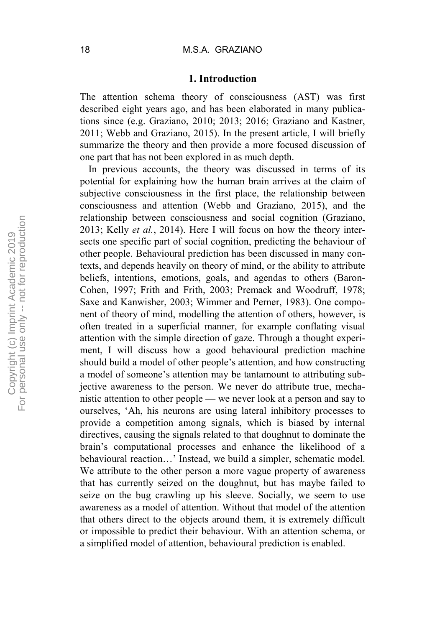#### **1. Introduction**

The attention schema theory of consciousness (AST) was first described eight years ago, and has been elaborated in many publications since (e.g. Graziano, 2010; 2013; 2016; Graziano and Kastner, 2011; Webb and Graziano, 2015). In the present article, I will briefly summarize the theory and then provide a more focused discussion of one part that has not been explored in as much depth.

In previous accounts, the theory was discussed in terms of its potential for explaining how the human brain arrives at the claim of subjective consciousness in the first place, the relationship between consciousness and attention (Webb and Graziano, 2015), and the relationship between consciousness and social cognition (Graziano, 2013; Kelly *et al.*, 2014). Here I will focus on how the theory intersects one specific part of social cognition, predicting the behaviour of other people. Behavioural prediction has been discussed in many contexts, and depends heavily on theory of mind, or the ability to attribute beliefs, intentions, emotions, goals, and agendas to others (Baron-Cohen, 1997; Frith and Frith, 2003; Premack and Woodruff, 1978; Saxe and Kanwisher, 2003; Wimmer and Perner, 1983). One component of theory of mind, modelling the attention of others, however, is often treated in a superficial manner, for example conflating visual attention with the simple direction of gaze. Through a thought experiment, I will discuss how a good behavioural prediction machine should build a model of other people's attention, and how constructing a model of someone's attention may be tantamount to attributing subjective awareness to the person. We never do attribute true, mechanistic attention to other people — we never look at a person and say to ourselves, 'Ah, his neurons are using lateral inhibitory processes to provide a competition among signals, which is biased by internal directives, causing the signals related to that doughnut to dominate the brain's computational processes and enhance the likelihood of a behavioural reaction…' Instead, we build a simpler, schematic model. We attribute to the other person a more vague property of awareness that has currently seized on the doughnut, but has maybe failed to seize on the bug crawling up his sleeve. Socially, we seem to use awareness as a model of attention. Without that model of the attention that others direct to the objects around them, it is extremely difficult or impossible to predict their behaviour. With an attention schema, or a simplified model of attention, behavioural prediction is enabled.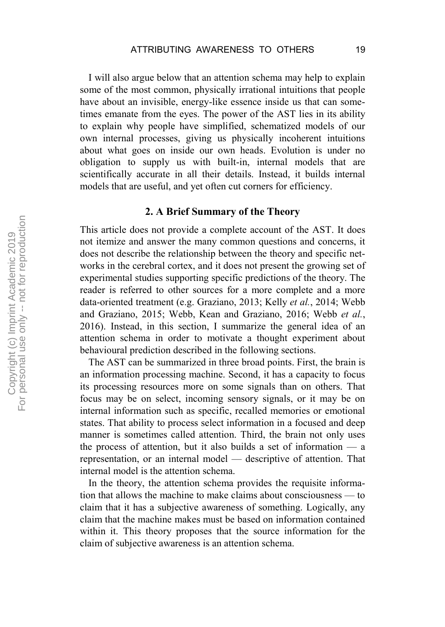I will also argue below that an attention schema may help to explain some of the most common, physically irrational intuitions that people have about an invisible, energy-like essence inside us that can sometimes emanate from the eyes. The power of the AST lies in its ability to explain why people have simplified, schematized models of our own internal processes, giving us physically incoherent intuitions about what goes on inside our own heads. Evolution is under no obligation to supply us with built-in, internal models that are scientifically accurate in all their details. Instead, it builds internal models that are useful, and yet often cut corners for efficiency.

#### **2. A Brief Summary of the Theory**

This article does not provide a complete account of the AST. It does not itemize and answer the many common questions and concerns, it does not describe the relationship between the theory and specific networks in the cerebral cortex, and it does not present the growing set of experimental studies supporting specific predictions of the theory. The reader is referred to other sources for a more complete and a more data-oriented treatment (e.g. Graziano, 2013; Kelly *et al.*, 2014; Webb and Graziano, 2015; Webb, Kean and Graziano, 2016; Webb *et al.*, 2016). Instead, in this section, I summarize the general idea of an attention schema in order to motivate a thought experiment about behavioural prediction described in the following sections.

The AST can be summarized in three broad points. First, the brain is an information processing machine. Second, it has a capacity to focus its processing resources more on some signals than on others. That focus may be on select, incoming sensory signals, or it may be on internal information such as specific, recalled memories or emotional states. That ability to process select information in a focused and deep manner is sometimes called attention. Third, the brain not only uses the process of attention, but it also builds a set of information — a representation, or an internal model — descriptive of attention. That internal model is the attention schema.

In the theory, the attention schema provides the requisite information that allows the machine to make claims about consciousness — to claim that it has a subjective awareness of something. Logically, any claim that the machine makes must be based on information contained within it. This theory proposes that the source information for the claim of subjective awareness is an attention schema.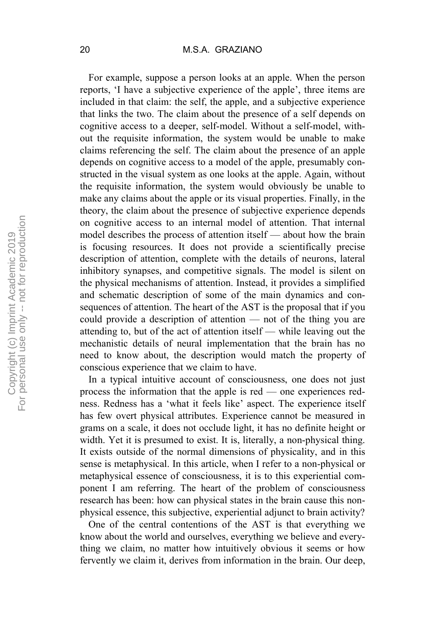For example, suppose a person looks at an apple. When the person reports, 'I have a subjective experience of the apple', three items are included in that claim: the self, the apple, and a subjective experience that links the two. The claim about the presence of a self depends on cognitive access to a deeper, self-model. Without a self-model, without the requisite information, the system would be unable to make claims referencing the self. The claim about the presence of an apple depends on cognitive access to a model of the apple, presumably constructed in the visual system as one looks at the apple. Again, without the requisite information, the system would obviously be unable to make any claims about the apple or its visual properties. Finally, in the theory, the claim about the presence of subjective experience depends on cognitive access to an internal model of attention. That internal model describes the process of attention itself — about how the brain is focusing resources. It does not provide a scientifically precise description of attention, complete with the details of neurons, lateral inhibitory synapses, and competitive signals. The model is silent on the physical mechanisms of attention. Instead, it provides a simplified and schematic description of some of the main dynamics and consequences of attention. The heart of the AST is the proposal that if you could provide a description of attention — not of the thing you are attending to, but of the act of attention itself — while leaving out the mechanistic details of neural implementation that the brain has no need to know about, the description would match the property of conscious experience that we claim to have.

In a typical intuitive account of consciousness, one does not just process the information that the apple is red — one experiences redness. Redness has a 'what it feels like' aspect. The experience itself has few overt physical attributes. Experience cannot be measured in grams on a scale, it does not occlude light, it has no definite height or width. Yet it is presumed to exist. It is, literally, a non-physical thing. It exists outside of the normal dimensions of physicality, and in this sense is metaphysical. In this article, when I refer to a non-physical or metaphysical essence of consciousness, it is to this experiential component I am referring. The heart of the problem of consciousness research has been: how can physical states in the brain cause this nonphysical essence, this subjective, experiential adjunct to brain activity?

One of the central contentions of the AST is that everything we know about the world and ourselves, everything we believe and everything we claim, no matter how intuitively obvious it seems or how fervently we claim it, derives from information in the brain. Our deep,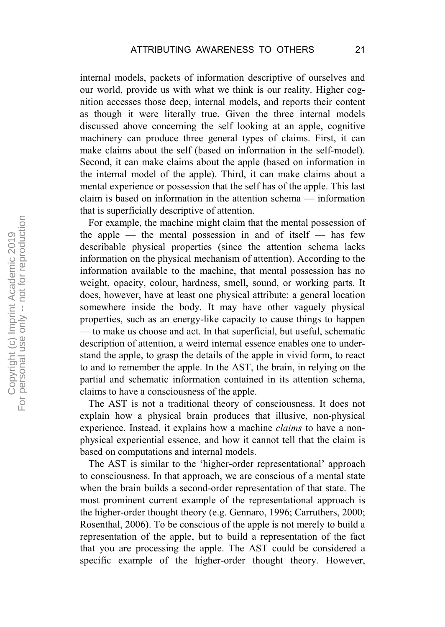internal models, packets of information descriptive of ourselves and our world, provide us with what we think is our reality. Higher cognition accesses those deep, internal models, and reports their content as though it were literally true. Given the three internal models discussed above concerning the self looking at an apple, cognitive machinery can produce three general types of claims. First, it can make claims about the self (based on information in the self-model). Second, it can make claims about the apple (based on information in the internal model of the apple). Third, it can make claims about a mental experience or possession that the self has of the apple. This last claim is based on information in the attention schema — information that is superficially descriptive of attention.

For example, the machine might claim that the mental possession of the apple  $-$  the mental possession in and of itself  $-$  has few describable physical properties (since the attention schema lacks information on the physical mechanism of attention). According to the information available to the machine, that mental possession has no weight, opacity, colour, hardness, smell, sound, or working parts. It does, however, have at least one physical attribute: a general location somewhere inside the body. It may have other vaguely physical properties, such as an energy-like capacity to cause things to happen — to make us choose and act. In that superficial, but useful, schematic description of attention, a weird internal essence enables one to understand the apple, to grasp the details of the apple in vivid form, to react to and to remember the apple. In the AST, the brain, in relying on the partial and schematic information contained in its attention schema, claims to have a consciousness of the apple.

The AST is not a traditional theory of consciousness. It does not explain how a physical brain produces that illusive, non-physical experience. Instead, it explains how a machine *claims* to have a nonphysical experiential essence, and how it cannot tell that the claim is based on computations and internal models.

The AST is similar to the 'higher-order representational' approach to consciousness. In that approach, we are conscious of a mental state when the brain builds a second-order representation of that state. The most prominent current example of the representational approach is the higher-order thought theory (e.g. Gennaro, 1996; Carruthers, 2000; Rosenthal, 2006). To be conscious of the apple is not merely to build a representation of the apple, but to build a representation of the fact that you are processing the apple. The AST could be considered a specific example of the higher-order thought theory. However,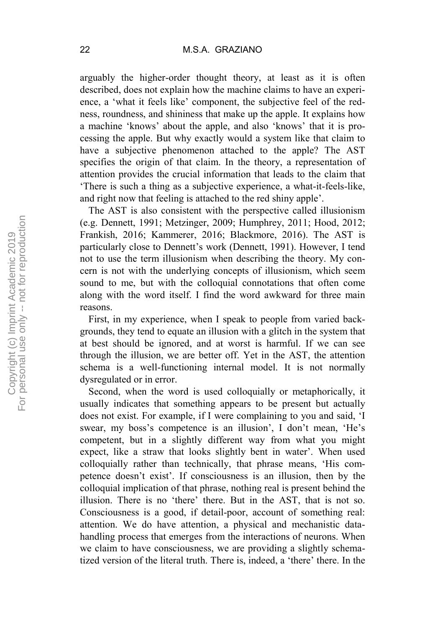arguably the higher-order thought theory, at least as it is often described, does not explain how the machine claims to have an experience, a 'what it feels like' component, the subjective feel of the redness, roundness, and shininess that make up the apple. It explains how a machine 'knows' about the apple, and also 'knows' that it is processing the apple. But why exactly would a system like that claim to have a subjective phenomenon attached to the apple? The AST specifies the origin of that claim. In the theory, a representation of attention provides the crucial information that leads to the claim that 'There is such a thing as a subjective experience, a what-it-feels-like, and right now that feeling is attached to the red shiny apple'.

The AST is also consistent with the perspective called illusionism (e.g. Dennett, 1991; Metzinger, 2009; Humphrey, 2011; Hood, 2012; Frankish, 2016; Kammerer, 2016; Blackmore, 2016). The AST is particularly close to Dennett's work (Dennett, 1991). However, I tend not to use the term illusionism when describing the theory. My concern is not with the underlying concepts of illusionism, which seem sound to me, but with the colloquial connotations that often come along with the word itself. I find the word awkward for three main reasons.

First, in my experience, when I speak to people from varied backgrounds, they tend to equate an illusion with a glitch in the system that at best should be ignored, and at worst is harmful. If we can see through the illusion, we are better off. Yet in the AST, the attention schema is a well-functioning internal model. It is not normally dysregulated or in error.

Second, when the word is used colloquially or metaphorically, it usually indicates that something appears to be present but actually does not exist. For example, if I were complaining to you and said, 'I swear, my boss's competence is an illusion', I don't mean, 'He's competent, but in a slightly different way from what you might expect, like a straw that looks slightly bent in water'. When used colloquially rather than technically, that phrase means, 'His competence doesn't exist'. If consciousness is an illusion, then by the colloquial implication of that phrase, nothing real is present behind the illusion. There is no 'there' there. But in the AST, that is not so. Consciousness is a good, if detail-poor, account of something real: attention. We do have attention, a physical and mechanistic datahandling process that emerges from the interactions of neurons. When we claim to have consciousness, we are providing a slightly schematized version of the literal truth. There is, indeed, a 'there' there. In the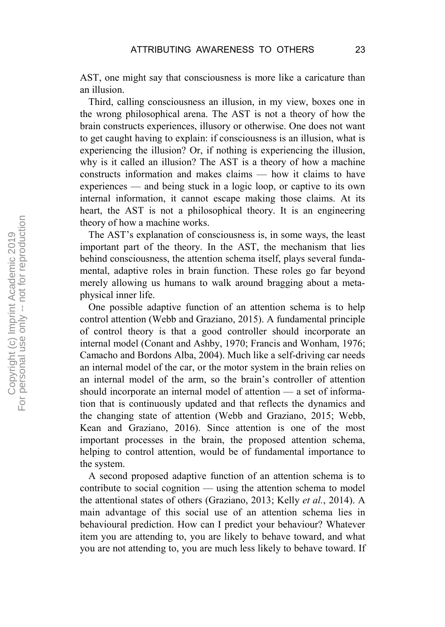AST, one might say that consciousness is more like a caricature than an illusion.

Third, calling consciousness an illusion, in my view, boxes one in the wrong philosophical arena. The AST is not a theory of how the brain constructs experiences, illusory or otherwise. One does not want to get caught having to explain: if consciousness is an illusion, what is experiencing the illusion? Or, if nothing is experiencing the illusion, why is it called an illusion? The AST is a theory of how a machine constructs information and makes claims — how it claims to have experiences — and being stuck in a logic loop, or captive to its own internal information, it cannot escape making those claims. At its heart, the AST is not a philosophical theory. It is an engineering theory of how a machine works.

The AST's explanation of consciousness is, in some ways, the least important part of the theory. In the AST, the mechanism that lies behind consciousness, the attention schema itself, plays several fundamental, adaptive roles in brain function. These roles go far beyond merely allowing us humans to walk around bragging about a metaphysical inner life.

One possible adaptive function of an attention schema is to help control attention (Webb and Graziano, 2015). A fundamental principle of control theory is that a good controller should incorporate an internal model (Conant and Ashby, 1970; Francis and Wonham, 1976; Camacho and Bordons Alba, 2004). Much like a self-driving car needs an internal model of the car, or the motor system in the brain relies on an internal model of the arm, so the brain's controller of attention should incorporate an internal model of attention — a set of information that is continuously updated and that reflects the dynamics and the changing state of attention (Webb and Graziano, 2015; Webb, Kean and Graziano, 2016). Since attention is one of the most important processes in the brain, the proposed attention schema, helping to control attention, would be of fundamental importance to the system.

A second proposed adaptive function of an attention schema is to contribute to social cognition — using the attention schema to model the attentional states of others (Graziano, 2013; Kelly *et al.*, 2014). A main advantage of this social use of an attention schema lies in behavioural prediction. How can I predict your behaviour? Whatever item you are attending to, you are likely to behave toward, and what you are not attending to, you are much less likely to behave toward. If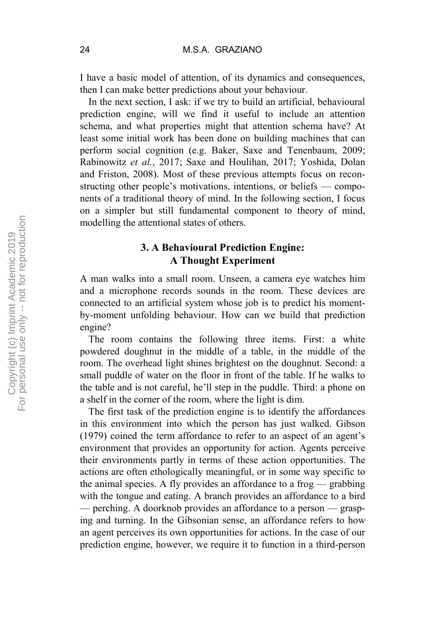I have a basic model of attention, of its dynamics and consequences, then I can make better predictions about your behaviour.

In the next section, I ask: if we try to build an artificial, behavioural prediction engine, will we find it useful to include an attention schema, and what properties might that attention schema have? At least some initial work has been done on building machines that can perform social cognition (e.g. Baker, Saxe and Tenenbaum, 2009; Rabinowitz *et al.*, 2017; Saxe and Houlihan, 2017; Yoshida, Dolan and Friston, 2008). Most of these previous attempts focus on reconstructing other people's motivations, intentions, or beliefs — components of a traditional theory of mind. In the following section, I focus on a simpler but still fundamental component to theory of mind, modelling the attentional states of others.

### **3. A Behavioural Prediction Engine: A Thought Experiment**

A man walks into a small room. Unseen, a camera eye watches him and a microphone records sounds in the room. These devices are connected to an artificial system whose job is to predict his momentby-moment unfolding behaviour. How can we build that prediction engine?

The room contains the following three items. First: a white powdered doughnut in the middle of a table, in the middle of the room. The overhead light shines brightest on the doughnut. Second: a small puddle of water on the floor in front of the table. If he walks to the table and is not careful, he'll step in the puddle. Third: a phone on a shelf in the corner of the room, where the light is dim.

The first task of the prediction engine is to identify the affordances in this environment into which the person has just walked. Gibson (1979) coined the term affordance to refer to an aspect of an agent's environment that provides an opportunity for action. Agents perceive their environments partly in terms of these action opportunities. The actions are often ethologically meaningful, or in some way specific to the animal species. A fly provides an affordance to a frog — grabbing with the tongue and eating. A branch provides an affordance to a bird — perching. A doorknob provides an affordance to a person — grasping and turning. In the Gibsonian sense, an affordance refers to how an agent perceives its own opportunities for actions. In the case of our prediction engine, however, we require it to function in a third-person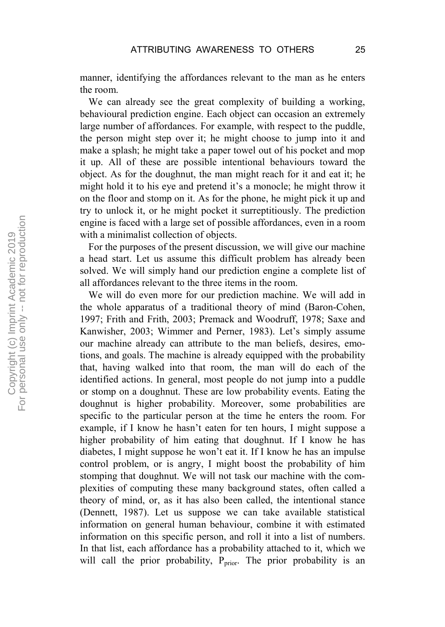manner, identifying the affordances relevant to the man as he enters the room.

We can already see the great complexity of building a working, behavioural prediction engine. Each object can occasion an extremely large number of affordances. For example, with respect to the puddle, the person might step over it; he might choose to jump into it and make a splash; he might take a paper towel out of his pocket and mop it up. All of these are possible intentional behaviours toward the object. As for the doughnut, the man might reach for it and eat it; he might hold it to his eye and pretend it's a monocle; he might throw it on the floor and stomp on it. As for the phone, he might pick it up and try to unlock it, or he might pocket it surreptitiously. The prediction engine is faced with a large set of possible affordances, even in a room with a minimalist collection of objects.

For the purposes of the present discussion, we will give our machine a head start. Let us assume this difficult problem has already been solved. We will simply hand our prediction engine a complete list of all affordances relevant to the three items in the room.

We will do even more for our prediction machine. We will add in the whole apparatus of a traditional theory of mind (Baron-Cohen, 1997; Frith and Frith, 2003; Premack and Woodruff, 1978; Saxe and Kanwisher, 2003; Wimmer and Perner, 1983). Let's simply assume our machine already can attribute to the man beliefs, desires, emotions, and goals. The machine is already equipped with the probability that, having walked into that room, the man will do each of the identified actions. In general, most people do not jump into a puddle or stomp on a doughnut. These are low probability events. Eating the doughnut is higher probability. Moreover, some probabilities are specific to the particular person at the time he enters the room. For example, if I know he hasn't eaten for ten hours, I might suppose a higher probability of him eating that doughnut. If I know he has diabetes, I might suppose he won't eat it. If I know he has an impulse control problem, or is angry, I might boost the probability of him stomping that doughnut. We will not task our machine with the complexities of computing these many background states, often called a theory of mind, or, as it has also been called, the intentional stance (Dennett, 1987). Let us suppose we can take available statistical information on general human behaviour, combine it with estimated information on this specific person, and roll it into a list of numbers. In that list, each affordance has a probability attached to it, which we will call the prior probability,  $P_{prior}$ . The prior probability is an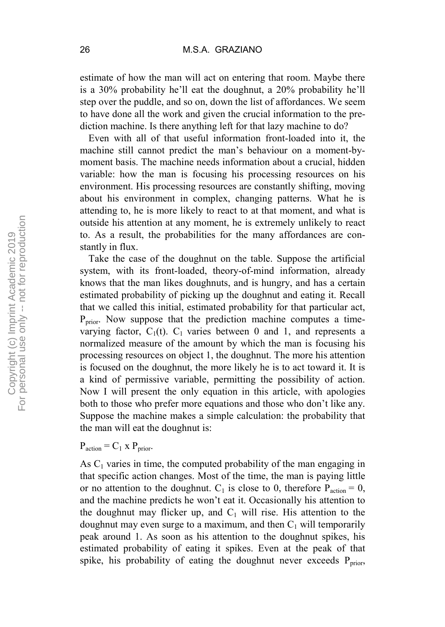estimate of how the man will act on entering that room. Maybe there is a 30% probability he'll eat the doughnut, a 20% probability he'll step over the puddle, and so on, down the list of affordances. We seem to have done all the work and given the crucial information to the prediction machine. Is there anything left for that lazy machine to do?

Even with all of that useful information front-loaded into it, the machine still cannot predict the man's behaviour on a moment-bymoment basis. The machine needs information about a crucial, hidden variable: how the man is focusing his processing resources on his environment. His processing resources are constantly shifting, moving about his environment in complex, changing patterns. What he is attending to, he is more likely to react to at that moment, and what is outside his attention at any moment, he is extremely unlikely to react to. As a result, the probabilities for the many affordances are constantly in flux.

Take the case of the doughnut on the table. Suppose the artificial system, with its front-loaded, theory-of-mind information, already knows that the man likes doughnuts, and is hungry, and has a certain estimated probability of picking up the doughnut and eating it. Recall that we called this initial, estimated probability for that particular act,  $P_{prior}$ . Now suppose that the prediction machine computes a timevarying factor,  $C_1(t)$ .  $C_1$  varies between 0 and 1, and represents a normalized measure of the amount by which the man is focusing his processing resources on object 1, the doughnut. The more his attention is focused on the doughnut, the more likely he is to act toward it. It is a kind of permissive variable, permitting the possibility of action. Now I will present the only equation in this article, with apologies both to those who prefer more equations and those who don't like any. Suppose the machine makes a simple calculation: the probability that the man will eat the doughnut is:

 $P_{action} = C_1 \times P_{prior}$ .

As  $C_1$  varies in time, the computed probability of the man engaging in that specific action changes. Most of the time, the man is paying little or no attention to the doughnut.  $C_1$  is close to 0, therefore  $P_{action} = 0$ , and the machine predicts he won't eat it. Occasionally his attention to the doughnut may flicker up, and  $C_1$  will rise. His attention to the doughnut may even surge to a maximum, and then  $C_1$  will temporarily peak around 1. As soon as his attention to the doughnut spikes, his estimated probability of eating it spikes. Even at the peak of that spike, his probability of eating the doughnut never exceeds  $P_{prior}$ ,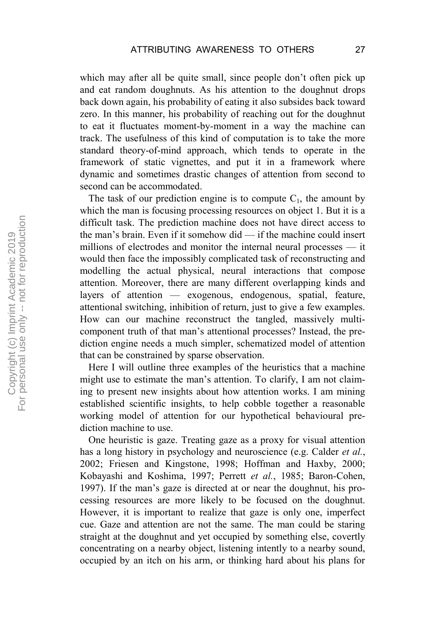which may after all be quite small, since people don't often pick up and eat random doughnuts. As his attention to the doughnut drops back down again, his probability of eating it also subsides back toward zero. In this manner, his probability of reaching out for the doughnut to eat it fluctuates moment-by-moment in a way the machine can track. The usefulness of this kind of computation is to take the more standard theory-of-mind approach, which tends to operate in the framework of static vignettes, and put it in a framework where dynamic and sometimes drastic changes of attention from second to second can be accommodated.

The task of our prediction engine is to compute  $C_1$ , the amount by which the man is focusing processing resources on object 1. But it is a difficult task. The prediction machine does not have direct access to the man's brain. Even if it somehow did — if the machine could insert millions of electrodes and monitor the internal neural processes — it would then face the impossibly complicated task of reconstructing and modelling the actual physical, neural interactions that compose attention. Moreover, there are many different overlapping kinds and layers of attention — exogenous, endogenous, spatial, feature, attentional switching, inhibition of return, just to give a few examples. How can our machine reconstruct the tangled, massively multicomponent truth of that man's attentional processes? Instead, the prediction engine needs a much simpler, schematized model of attention that can be constrained by sparse observation.

Here I will outline three examples of the heuristics that a machine might use to estimate the man's attention. To clarify, I am not claiming to present new insights about how attention works. I am mining established scientific insights, to help cobble together a reasonable working model of attention for our hypothetical behavioural prediction machine to use.

One heuristic is gaze. Treating gaze as a proxy for visual attention has a long history in psychology and neuroscience (e.g. Calder *et al.*, 2002; Friesen and Kingstone, 1998; Hoffman and Haxby, 2000; Kobayashi and Koshima, 1997; Perrett *et al.*, 1985; Baron-Cohen, 1997). If the man's gaze is directed at or near the doughnut, his processing resources are more likely to be focused on the doughnut. However, it is important to realize that gaze is only one, imperfect cue. Gaze and attention are not the same. The man could be staring straight at the doughnut and yet occupied by something else, covertly concentrating on a nearby object, listening intently to a nearby sound, occupied by an itch on his arm, or thinking hard about his plans for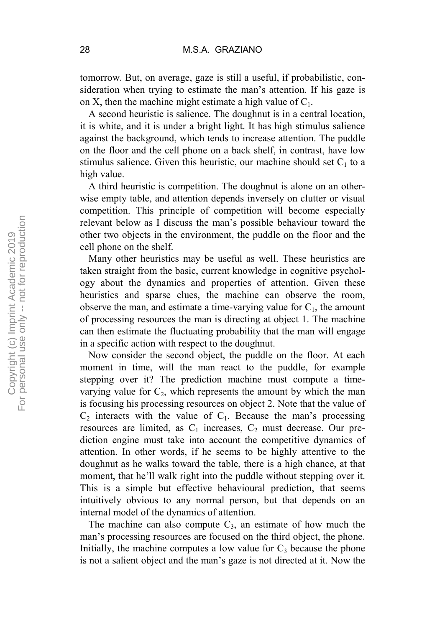tomorrow. But, on average, gaze is still a useful, if probabilistic, consideration when trying to estimate the man's attention. If his gaze is on X, then the machine might estimate a high value of  $C_1$ .

A second heuristic is salience. The doughnut is in a central location, it is white, and it is under a bright light. It has high stimulus salience against the background, which tends to increase attention. The puddle on the floor and the cell phone on a back shelf, in contrast, have low stimulus salience. Given this heuristic, our machine should set  $C_1$  to a high value.

A third heuristic is competition. The doughnut is alone on an otherwise empty table, and attention depends inversely on clutter or visual competition. This principle of competition will become especially relevant below as I discuss the man's possible behaviour toward the other two objects in the environment, the puddle on the floor and the cell phone on the shelf.

Many other heuristics may be useful as well. These heuristics are taken straight from the basic, current knowledge in cognitive psychology about the dynamics and properties of attention. Given these heuristics and sparse clues, the machine can observe the room, observe the man, and estimate a time-varying value for  $C_1$ , the amount of processing resources the man is directing at object 1. The machine can then estimate the fluctuating probability that the man will engage in a specific action with respect to the doughnut.

Now consider the second object, the puddle on the floor. At each moment in time, will the man react to the puddle, for example stepping over it? The prediction machine must compute a timevarying value for  $C_2$ , which represents the amount by which the man is focusing his processing resources on object 2. Note that the value of  $C_2$  interacts with the value of  $C_1$ . Because the man's processing resources are limited, as  $C_1$  increases,  $C_2$  must decrease. Our prediction engine must take into account the competitive dynamics of attention. In other words, if he seems to be highly attentive to the doughnut as he walks toward the table, there is a high chance, at that moment, that he'll walk right into the puddle without stepping over it. This is a simple but effective behavioural prediction, that seems intuitively obvious to any normal person, but that depends on an internal model of the dynamics of attention.

The machine can also compute  $C_3$ , an estimate of how much the man's processing resources are focused on the third object, the phone. Initially, the machine computes a low value for  $C_3$  because the phone is not a salient object and the man's gaze is not directed at it. Now the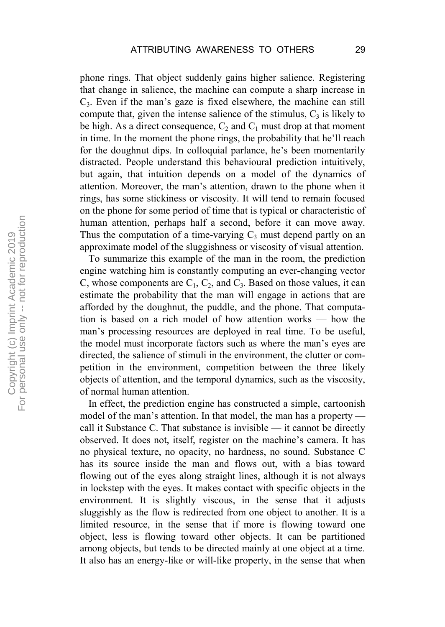phone rings. That object suddenly gains higher salience. Registering that change in salience, the machine can compute a sharp increase in  $C_3$ . Even if the man's gaze is fixed elsewhere, the machine can still compute that, given the intense salience of the stimulus,  $C_3$  is likely to be high. As a direct consequence,  $C_2$  and  $C_1$  must drop at that moment in time. In the moment the phone rings, the probability that he'll reach for the doughnut dips. In colloquial parlance, he's been momentarily distracted. People understand this behavioural prediction intuitively, but again, that intuition depends on a model of the dynamics of attention. Moreover, the man's attention, drawn to the phone when it rings, has some stickiness or viscosity. It will tend to remain focused on the phone for some period of time that is typical or characteristic of human attention, perhaps half a second, before it can move away. Thus the computation of a time-varying  $C_3$  must depend partly on an approximate model of the sluggishness or viscosity of visual attention.

To summarize this example of the man in the room, the prediction engine watching him is constantly computing an ever-changing vector C, whose components are  $C_1$ ,  $C_2$ , and  $C_3$ . Based on those values, it can estimate the probability that the man will engage in actions that are afforded by the doughnut, the puddle, and the phone. That computation is based on a rich model of how attention works — how the man's processing resources are deployed in real time. To be useful, the model must incorporate factors such as where the man's eyes are directed, the salience of stimuli in the environment, the clutter or competition in the environment, competition between the three likely objects of attention, and the temporal dynamics, such as the viscosity, of normal human attention.

In effect, the prediction engine has constructed a simple, cartoonish model of the man's attention. In that model, the man has a property call it Substance C. That substance is invisible — it cannot be directly observed. It does not, itself, register on the machine's camera. It has no physical texture, no opacity, no hardness, no sound. Substance C has its source inside the man and flows out, with a bias toward flowing out of the eyes along straight lines, although it is not always in lockstep with the eyes. It makes contact with specific objects in the environment. It is slightly viscous, in the sense that it adjusts sluggishly as the flow is redirected from one object to another. It is a limited resource, in the sense that if more is flowing toward one object, less is flowing toward other objects. It can be partitioned among objects, but tends to be directed mainly at one object at a time. It also has an energy-like or will-like property, in the sense that when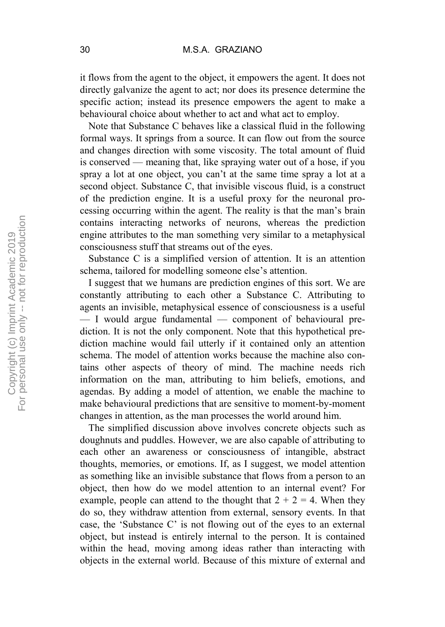it flows from the agent to the object, it empowers the agent. It does not directly galvanize the agent to act; nor does its presence determine the specific action; instead its presence empowers the agent to make a behavioural choice about whether to act and what act to employ.

Note that Substance C behaves like a classical fluid in the following formal ways. It springs from a source. It can flow out from the source and changes direction with some viscosity. The total amount of fluid is conserved — meaning that, like spraying water out of a hose, if you spray a lot at one object, you can't at the same time spray a lot at a second object. Substance C, that invisible viscous fluid, is a construct of the prediction engine. It is a useful proxy for the neuronal processing occurring within the agent. The reality is that the man's brain contains interacting networks of neurons, whereas the prediction engine attributes to the man something very similar to a metaphysical consciousness stuff that streams out of the eyes.

Substance C is a simplified version of attention. It is an attention schema, tailored for modelling someone else's attention.

I suggest that we humans are prediction engines of this sort. We are constantly attributing to each other a Substance C. Attributing to agents an invisible, metaphysical essence of consciousness is a useful — I would argue fundamental — component of behavioural prediction. It is not the only component. Note that this hypothetical prediction machine would fail utterly if it contained only an attention schema. The model of attention works because the machine also contains other aspects of theory of mind. The machine needs rich information on the man, attributing to him beliefs, emotions, and agendas. By adding a model of attention, we enable the machine to make behavioural predictions that are sensitive to moment-by-moment changes in attention, as the man processes the world around him.

The simplified discussion above involves concrete objects such as doughnuts and puddles. However, we are also capable of attributing to each other an awareness or consciousness of intangible, abstract thoughts, memories, or emotions. If, as I suggest, we model attention as something like an invisible substance that flows from a person to an object, then how do we model attention to an internal event? For example, people can attend to the thought that  $2 + 2 = 4$ . When they do so, they withdraw attention from external, sensory events. In that case, the 'Substance C' is not flowing out of the eyes to an external object, but instead is entirely internal to the person. It is contained within the head, moving among ideas rather than interacting with objects in the external world. Because of this mixture of external and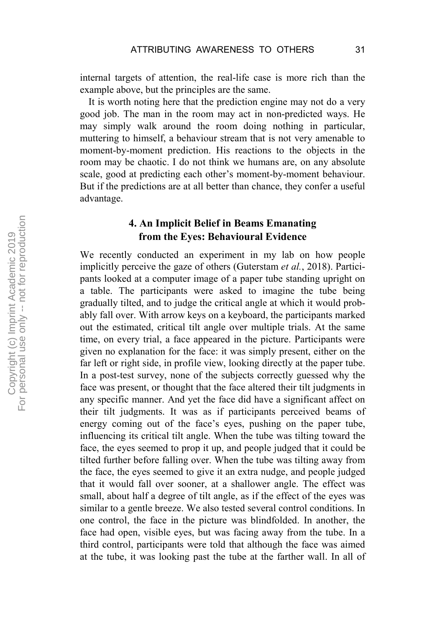internal targets of attention, the real-life case is more rich than the example above, but the principles are the same.

It is worth noting here that the prediction engine may not do a very good job. The man in the room may act in non-predicted ways. He may simply walk around the room doing nothing in particular, muttering to himself, a behaviour stream that is not very amenable to moment-by-moment prediction. His reactions to the objects in the room may be chaotic. I do not think we humans are, on any absolute scale, good at predicting each other's moment-by-moment behaviour. But if the predictions are at all better than chance, they confer a useful advantage.

## **4. An Implicit Belief in Beams Emanating from the Eyes: Behavioural Evidence**

We recently conducted an experiment in my lab on how people implicitly perceive the gaze of others (Guterstam *et al.*, 2018). Participants looked at a computer image of a paper tube standing upright on a table. The participants were asked to imagine the tube being gradually tilted, and to judge the critical angle at which it would probably fall over. With arrow keys on a keyboard, the participants marked out the estimated, critical tilt angle over multiple trials. At the same time, on every trial, a face appeared in the picture. Participants were given no explanation for the face: it was simply present, either on the far left or right side, in profile view, looking directly at the paper tube. In a post-test survey, none of the subjects correctly guessed why the face was present, or thought that the face altered their tilt judgments in any specific manner. And yet the face did have a significant affect on their tilt judgments. It was as if participants perceived beams of energy coming out of the face's eyes, pushing on the paper tube, influencing its critical tilt angle. When the tube was tilting toward the face, the eyes seemed to prop it up, and people judged that it could be tilted further before falling over. When the tube was tilting away from the face, the eyes seemed to give it an extra nudge, and people judged that it would fall over sooner, at a shallower angle. The effect was small, about half a degree of tilt angle, as if the effect of the eyes was similar to a gentle breeze. We also tested several control conditions. In one control, the face in the picture was blindfolded. In another, the face had open, visible eyes, but was facing away from the tube. In a third control, participants were told that although the face was aimed at the tube, it was looking past the tube at the farther wall. In all of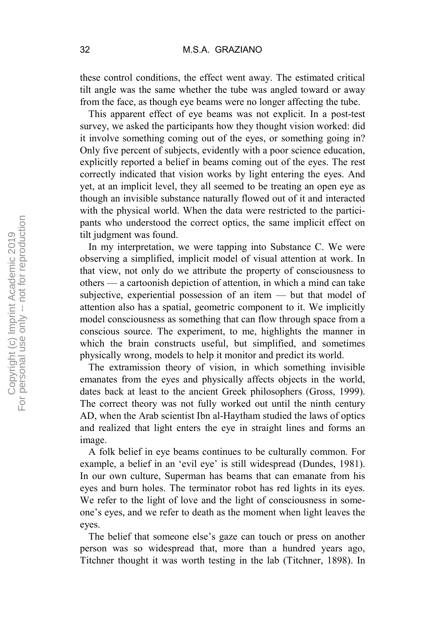these control conditions, the effect went away. The estimated critical tilt angle was the same whether the tube was angled toward or away from the face, as though eye beams were no longer affecting the tube.

This apparent effect of eye beams was not explicit. In a post-test survey, we asked the participants how they thought vision worked: did it involve something coming out of the eyes, or something going in? Only five percent of subjects, evidently with a poor science education, explicitly reported a belief in beams coming out of the eyes. The rest correctly indicated that vision works by light entering the eyes. And yet, at an implicit level, they all seemed to be treating an open eye as though an invisible substance naturally flowed out of it and interacted with the physical world. When the data were restricted to the participants who understood the correct optics, the same implicit effect on tilt judgment was found.

In my interpretation, we were tapping into Substance C. We were observing a simplified, implicit model of visual attention at work. In that view, not only do we attribute the property of consciousness to others — a cartoonish depiction of attention, in which a mind can take subjective, experiential possession of an item — but that model of attention also has a spatial, geometric component to it. We implicitly model consciousness as something that can flow through space from a conscious source. The experiment, to me, highlights the manner in which the brain constructs useful, but simplified, and sometimes physically wrong, models to help it monitor and predict its world.

The extramission theory of vision, in which something invisible emanates from the eyes and physically affects objects in the world, dates back at least to the ancient Greek philosophers (Gross, 1999). The correct theory was not fully worked out until the ninth century AD, when the Arab scientist Ibn al-Haytham studied the laws of optics and realized that light enters the eye in straight lines and forms an image.

A folk belief in eye beams continues to be culturally common. For example, a belief in an 'evil eye' is still widespread (Dundes, 1981). In our own culture, Superman has beams that can emanate from his eyes and burn holes. The terminator robot has red lights in its eyes. We refer to the light of love and the light of consciousness in someone's eyes, and we refer to death as the moment when light leaves the eyes.

The belief that someone else's gaze can touch or press on another person was so widespread that, more than a hundred years ago, Titchner thought it was worth testing in the lab (Titchner, 1898). In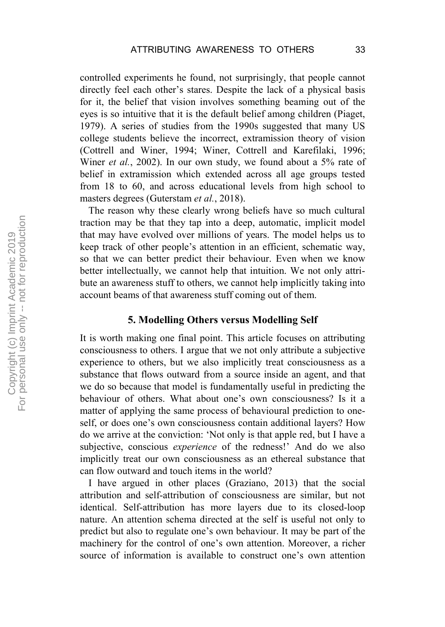controlled experiments he found, not surprisingly, that people cannot directly feel each other's stares. Despite the lack of a physical basis for it, the belief that vision involves something beaming out of the eyes is so intuitive that it is the default belief among children (Piaget, 1979). A series of studies from the 1990s suggested that many US college students believe the incorrect, extramission theory of vision (Cottrell and Winer, 1994; Winer, Cottrell and Karefilaki, 1996; Winer *et al.*, 2002). In our own study, we found about a 5% rate of belief in extramission which extended across all age groups tested from 18 to 60, and across educational levels from high school to masters degrees (Guterstam *et al.*, 2018).

The reason why these clearly wrong beliefs have so much cultural traction may be that they tap into a deep, automatic, implicit model that may have evolved over millions of years. The model helps us to keep track of other people's attention in an efficient, schematic way, so that we can better predict their behaviour. Even when we know better intellectually, we cannot help that intuition. We not only attribute an awareness stuff to others, we cannot help implicitly taking into account beams of that awareness stuff coming out of them.

#### **5. Modelling Others versus Modelling Self**

It is worth making one final point. This article focuses on attributing consciousness to others. I argue that we not only attribute a subjective experience to others, but we also implicitly treat consciousness as a substance that flows outward from a source inside an agent, and that we do so because that model is fundamentally useful in predicting the behaviour of others. What about one's own consciousness? Is it a matter of applying the same process of behavioural prediction to oneself, or does one's own consciousness contain additional layers? How do we arrive at the conviction: 'Not only is that apple red, but I have a subjective, conscious *experience* of the redness!' And do we also implicitly treat our own consciousness as an ethereal substance that can flow outward and touch items in the world?

I have argued in other places (Graziano, 2013) that the social attribution and self-attribution of consciousness are similar, but not identical. Self-attribution has more layers due to its closed-loop nature. An attention schema directed at the self is useful not only to predict but also to regulate one's own behaviour. It may be part of the machinery for the control of one's own attention. Moreover, a richer source of information is available to construct one's own attention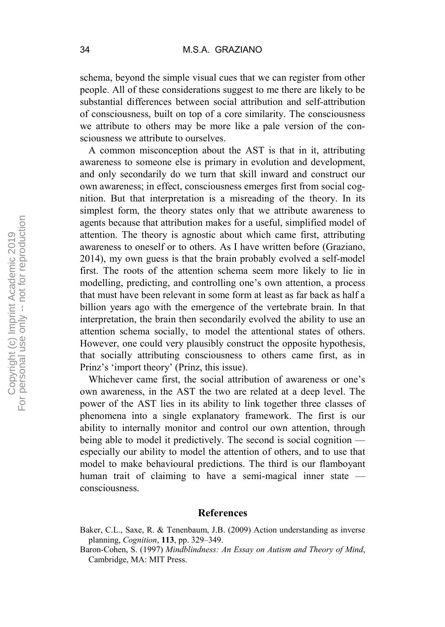schema, beyond the simple visual cues that we can register from other people. All of these considerations suggest to me there are likely to be substantial differences between social attribution and self-attribution of consciousness, built on top of a core similarity. The consciousness we attribute to others may be more like a pale version of the consciousness we attribute to ourselves.

A common misconception about the AST is that in it, attributing awareness to someone else is primary in evolution and development, and only secondarily do we turn that skill inward and construct our own awareness; in effect, consciousness emerges first from social cognition. But that interpretation is a misreading of the theory. In its simplest form, the theory states only that we attribute awareness to agents because that attribution makes for a useful, simplified model of attention. The theory is agnostic about which came first, attributing awareness to oneself or to others. As I have written before (Graziano, 2014), my own guess is that the brain probably evolved a self-model first. The roots of the attention schema seem more likely to lie in modelling, predicting, and controlling one's own attention, a process that must have been relevant in some form at least as far back as half a billion years ago with the emergence of the vertebrate brain. In that interpretation, the brain then secondarily evolved the ability to use an attention schema socially, to model the attentional states of others. However, one could very plausibly construct the opposite hypothesis, that socially attributing consciousness to others came first, as in Prinz's 'import theory' (Prinz, this issue).

Whichever came first, the social attribution of awareness or one's own awareness, in the AST the two are related at a deep level. The power of the AST lies in its ability to link together three classes of phenomena into a single explanatory framework. The first is our ability to internally monitor and control our own attention, through being able to model it predictively. The second is social cognition especially our ability to model the attention of others, and to use that model to make behavioural predictions. The third is our flamboyant human trait of claiming to have a semi-magical inner state consciousness.

#### **References**

Baker, C.L., Saxe, R. & Tenenbaum, J.B. (2009) Action understanding as inverse planning, *Cognition*, **113**, pp. 329–349.

Baron-Cohen, S. (1997) *Mindblindness: An Essay on Autism and Theory of Mind*, Cambridge, MA: MIT Press.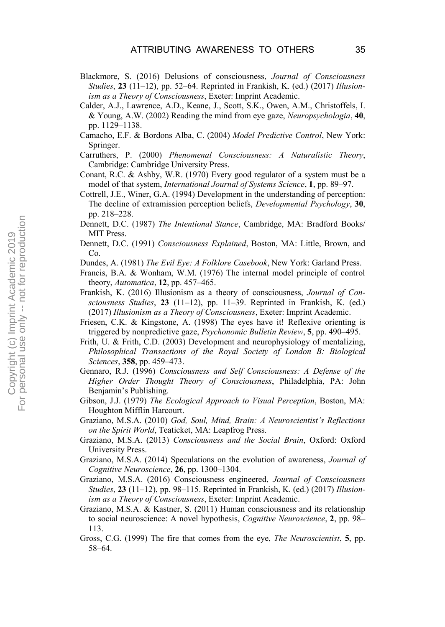- Blackmore, S. (2016) Delusions of consciousness, *Journal of Consciousness Studies*, **23** (11–12), pp. 52–64. Reprinted in Frankish, K. (ed.) (2017) *Illusionism as a Theory of Consciousness*, Exeter: Imprint Academic.
- Calder, A.J., Lawrence, A.D., Keane, J., Scott, S.K., Owen, A.M., Christoffels, I. & Young, A.W. (2002) Reading the mind from eye gaze, *Neuropsychologia*, **40**, pp. 1129–1138.
- Camacho, E.F. & Bordons Alba, C. (2004) *Model Predictive Control*, New York: Springer.
- Carruthers, P. (2000) *Phenomenal Consciousness: A Naturalistic Theory*, Cambridge: Cambridge University Press.
- Conant, R.C. & Ashby, W.R. (1970) Every good regulator of a system must be a model of that system, *International Journal of Systems Science*, **1**, pp. 89–97.
- Cottrell, J.E., Winer, G.A. (1994) Development in the understanding of perception: The decline of extramission perception beliefs, *Developmental Psychology*, **30**, pp. 218–228.
- Dennett, D.C. (1987) *The Intentional Stance*, Cambridge, MA: Bradford Books/ MIT Press.
- Dennett, D.C. (1991) *Consciousness Explained*, Boston, MA: Little, Brown, and Co.
- Dundes, A. (1981) *The Evil Eye: A Folklore Casebook*, New York: Garland Press.
- Francis, B.A. & Wonham, W.M. (1976) The internal model principle of control theory, *Automatica*, **12**, pp. 457–465.
- Frankish, K. (2016) Illusionism as a theory of consciousness, *Journal of Consciousness Studies*, **23** (11–12), pp. 11–39. Reprinted in Frankish, K. (ed.) (2017) *Illusionism as a Theory of Consciousness*, Exeter: Imprint Academic.
- Friesen, C.K. & Kingstone, A. (1998) The eyes have it! Reflexive orienting is triggered by nonpredictive gaze, *Psychonomic Bulletin Review*, **5**, pp. 490–495.
- Frith, U. & Frith, C.D. (2003) Development and neurophysiology of mentalizing, *Philosophical Transactions of the Royal Society of London B: Biological Sciences*, **358**, pp. 459–473.
- Gennaro, R.J. (1996) *Consciousness and Self Consciousness: A Defense of the Higher Order Thought Theory of Consciousness*, Philadelphia, PA: John Benjamin's Publishing.
- Gibson, J.J. (1979) *The Ecological Approach to Visual Perception*, Boston, MA: Houghton Mifflin Harcourt.
- Graziano, M.S.A. (2010) *God, Soul, Mind, Brain: A Neuroscientist's Reflections on the Spirit World*, Teaticket, MA: Leapfrog Press.
- Graziano, M.S.A. (2013) *Consciousness and the Social Brain*, Oxford: Oxford University Press.
- Graziano, M.S.A. (2014) Speculations on the evolution of awareness, *Journal of Cognitive Neuroscience*, **26**, pp. 1300–1304.
- Graziano, M.S.A. (2016) Consciousness engineered, *Journal of Consciousness Studies*, **23** (11–12), pp. 98–115. Reprinted in Frankish, K. (ed.) (2017) *Illusionism as a Theory of Consciousness*, Exeter: Imprint Academic.
- Graziano, M.S.A. & Kastner, S. (2011) Human consciousness and its relationship to social neuroscience: A novel hypothesis, *Cognitive Neuroscience*, **2**, pp. 98– 113.
- Gross, C.G. (1999) The fire that comes from the eye, *The Neuroscientist*, **5**, pp. 58–64.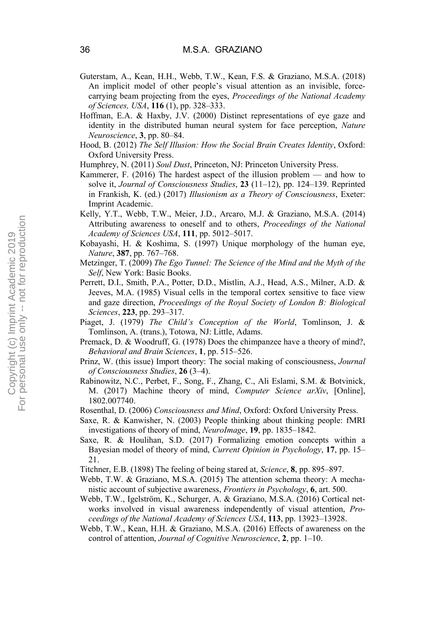- Guterstam, A., Kean, H.H., Webb, T.W., Kean, F.S. & Graziano, M.S.A. (2018) An implicit model of other people's visual attention as an invisible, forcecarrying beam projecting from the eyes, *Proceedings of the National Academy of Sciences, USA*, **116** (1), pp. 328–333.
- Hoffman, E.A. & Haxby, J.V. (2000) Distinct representations of eye gaze and identity in the distributed human neural system for face perception, *Nature Neuroscience*, **3**, pp. 80–84.
- Hood, B. (2012) *The Self Illusion: How the Social Brain Creates Identity*, Oxford: Oxford University Press.
- Humphrey, N. (2011) *Soul Dust*, Princeton, NJ: Princeton University Press.
- Kammerer, F. (2016) The hardest aspect of the illusion problem and how to solve it, *Journal of Consciousness Studies*, **23** (11–12), pp. 124–139. Reprinted in Frankish, K. (ed.) (2017) *Illusionism as a Theory of Consciousness*, Exeter: Imprint Academic.
- Kelly, Y.T., Webb, T.W., Meier, J.D., Arcaro, M.J. & Graziano, M.S.A. (2014) Attributing awareness to oneself and to others, *Proceedings of the National Academy of Sciences USA*, **111**, pp. 5012–5017.
- Kobayashi, H. & Koshima, S. (1997) Unique morphology of the human eye, *Nature*, **387**, pp. 767–768.
- Metzinger, T. (2009) *The Ego Tunnel: The Science of the Mind and the Myth of the Self*, New York: Basic Books.
- Perrett, D.I., Smith, P.A., Potter, D.D., Mistlin, A.J., Head, A.S., Milner, A.D. & Jeeves, M.A. (1985) Visual cells in the temporal cortex sensitive to face view and gaze direction, *Proceedings of the Royal Society of London B: Biological Sciences*, **223**, pp. 293–317.
- Piaget, J. (1979) *The Child's Conception of the World*, Tomlinson, J. & Tomlinson, A. (trans.), Totowa, NJ: Little, Adams.
- Premack, D. & Woodruff, G. (1978) Does the chimpanzee have a theory of mind?, *Behavioral and Brain Sciences*, **1**, pp. 515–526.
- Prinz, W. (this issue) Import theory: The social making of consciousness, *Journal of Consciousness Studies*, **26** (3–4).
- Rabinowitz, N.C., Perbet, F., Song, F., Zhang, C., Ali Eslami, S.M. & Botvinick, M. (2017) Machine theory of mind, *Computer Science arXiv*, [Online], 1802.007740.
- Rosenthal, D. (2006) *Consciousness and Mind*, Oxford: Oxford University Press.
- Saxe, R. & Kanwisher, N. (2003) People thinking about thinking people: fMRI investigations of theory of mind, *NeuroImage*, **19**, pp. 1835–1842.
- Saxe, R. & Houlihan, S.D. (2017) Formalizing emotion concepts within a Bayesian model of theory of mind, *Current Opinion in Psychology*, **17**, pp. 15– 21.
- Titchner, E.B. (1898) The feeling of being stared at, *Science*, **8**, pp. 895–897.
- Webb, T.W. & Graziano, M.S.A. (2015) The attention schema theory: A mechanistic account of subjective awareness, *Frontiers in Psychology*, **6**, art. 500.
- Webb, T.W., Igelström, K., Schurger, A. & Graziano, M.S.A. (2016) Cortical networks involved in visual awareness independently of visual attention, *Proceedings of the National Academy of Sciences USA*, **113**, pp. 13923–13928.
- Webb, T.W., Kean, H.H. & Graziano, M.S.A. (2016) Effects of awareness on the control of attention, *Journal of Cognitive Neuroscience*, **2**, pp. 1–10.